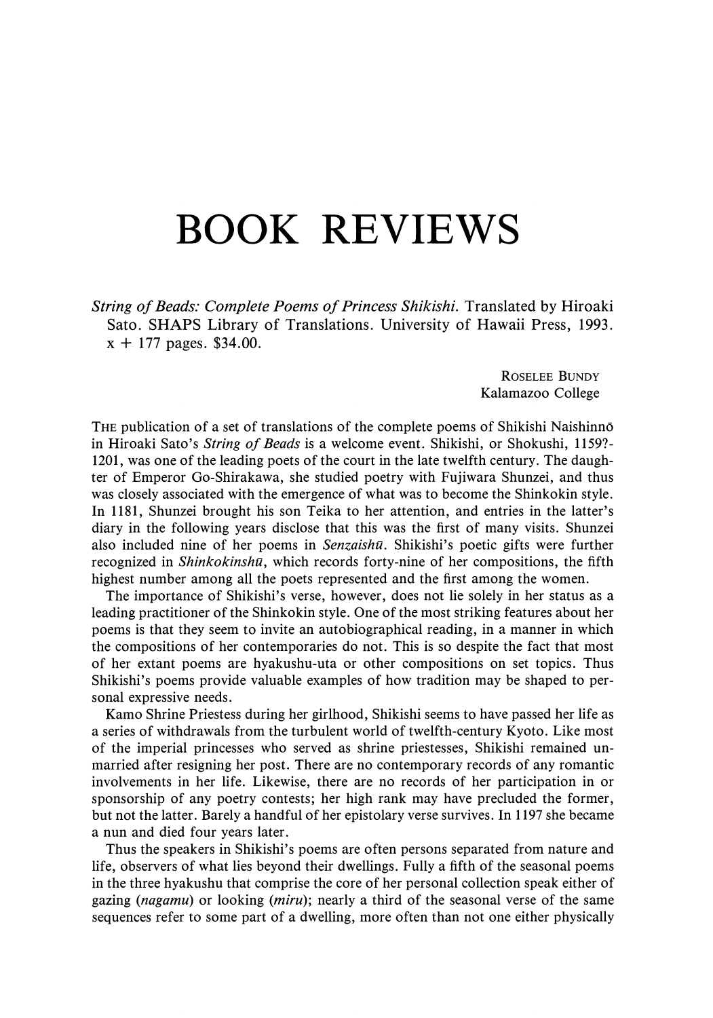## BOOK REVIEWS

String of Beads: Complete Poems of Princess Shikishi. Translated by Hiroaki Sato. SHAPS Library of Translations. University of Hawaii Press, 1993.  $x + 177$  pages. \$34.00.

> ROSELEE BUNDY Kalamazoo College

THE publication of a set of translations of the complete poems of Shikishi Naishinno in Hiroaki Sato's String of Beads is a welcome event. Shikishi, or Shokushi, 1159?- 1201, was one of the leading poets of the court in the late twelfth century. The daughter of Emperor Go-Shirakawa, she studied poetry with Fujiwara Shunzei, and thus was closely associated with the emergence of what was to become the Shinkokin style. In 1181, Shunzei brought his son Teika to her attention, and entries in the latter's diary in the following years disclose that this was the first of many visits. Shunzei also included nine of her poems in  $Senzaish\bar{u}$ . Shikishi's poetic gifts were further recognized in *Shinkokinshū*, which records forty-nine of her compositions, the fifth highest number among all the poets represented and the first among the women.

The importance of Shikishi's verse, however, does not lie solely in her status as a leading practitioner of the Shinkokinstyle. One of the moststriking features about her poemsis that they seem to invite an autobiographical reading, in a manner in which the compositions of her contemporaries do not. This is so despite the fact that most of her extant poems are hyakushu-uta or other compositions on set topics. Thus Shikishi's poems provide valuable examples of how tradition may be shaped to personal expressive needs.

Kamo Shrine Priestess during her girlhood, Shikishi seems to have passed her life as a series of withdrawals from the turbulent world of twelfth-century Kyoto. Like most of the imperial princesses who served as shrine priestesses, Shikishi remained unmarried after resigning her post. There are no contemporary records of any romantic involvements in her life. Likewise, there are no records of her participation in or sponsorship of any poetry contests; her high rank may have precluded the former, but not the latter. Barely a handful of her epistolary verse survives. In 1197 she became a nun and died four years later.

Thus the speakers in Shikishi's poems are often persons separated from nature and life, observers of what lies beyond their dwellings. Fully a fifth of the seasonal poems in the three hyakushu that comprise the core of her personal collection speak either of gazing (nagamu) or looking (miru); nearly a third of the seasonal verse of the same sequences refer to some part of a dwelling, more often than not one either physically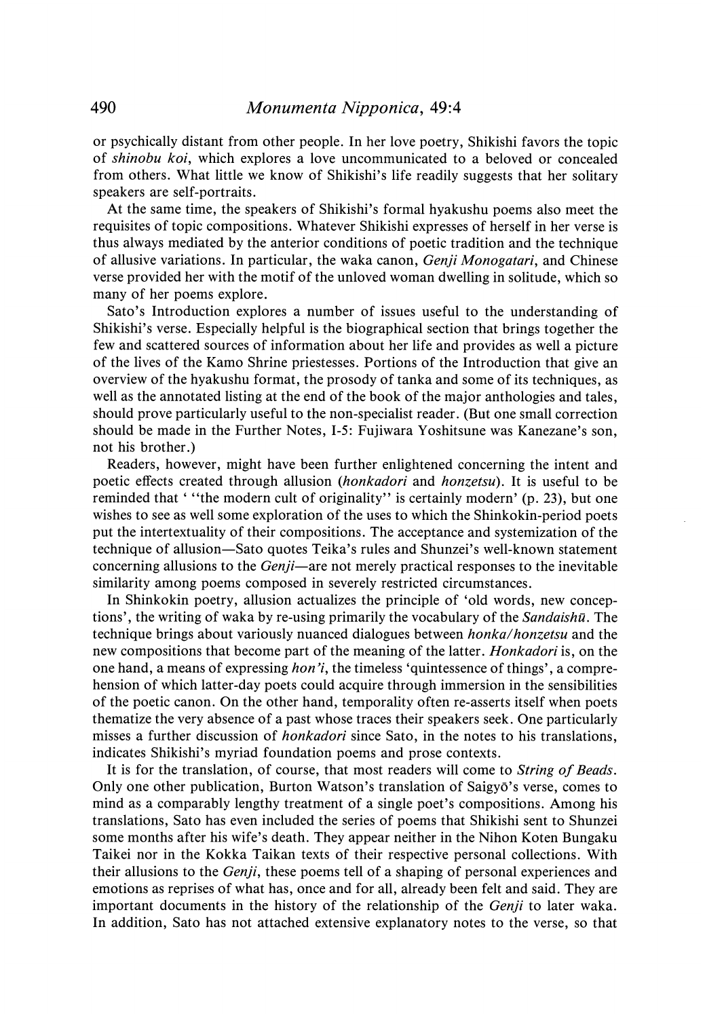or psychically distant from other people. In her love poetry, Shikishi favors the topic of shinobu koi, which explores a love uncommunicated to a beloved or concealed from others. What little we know of Shikishi's life readily suggests that her solitary speakers are self-portraits.

At the same time, the speakers of Shikishi's formal hyakushu poems also meet the requisites of topic compositions. Whatever Shikishi expresses of herself in her verse is thus always mediated by the anterior conditions of poetic tradition and the technique of allusive variations. In particular, the waka canon, *Genji Monogatari*, and Chinese verse provided her with the motif of the unloved woman dwelling in solitude, which so many of her poems explore.

Sato's Introduction explores a number of issues useful to the understanding of Shikishi's verse. Especially helpful is the biographical section that brings together the few and scattered sources of information about her life and provides as well a picture of the lives of the Kamo Shrine priestesses. Portions of the Introduction that give an overview of the hyakushu format, the prosody of tanka and someofits techniques, as well as the annotated listing at the end of the book of the major anthologies and tales, should prove particularly useful to the non-specialist reader. (But one small correction should be made in the Further Notes, I-5: Fujiwara Yoshitsune was Kanezane's son, not his brother.)

Readers, however, might have been further enlightened concerning the intent and poetic effects created through allusion (honkadori and honzetsu). It is useful to be reminded that ' ''the modern cult of originality'' is certainly modern' (p. 23), but one wishes to see as well some exploration of the uses to which the Shinkokin-period poets put the intertextuality of their compositions. The acceptance and systemization of the technique of allusion—Sato quotes Teika's rules and Shunzei's well-known statement concerning allusions to the *Genji*—are not merely practical responses to the inevitable similarity among poems composed in severely restricted circumstances.

In Shinkokin poetry, allusion actualizes the principle of 'old words, new conceptions', the writing of waka by re-using primarily the vocabulary of the *Sandaishū*. The technique brings about variously nuanced dialogues between honka/honzetsu and the new compositions that become part of the meaning of the latter. Honkadori is, on the one hand, a means of expressing *hon'i*, the timeless 'quintessence of things', a comprehension of which latter-day poets could acquire through immersion in the sensibilities of the poetic canon. On the other hand, temporality often re-asserts itself when poets thematize the very absence of a past whose traces their speakers seek. One particularly misses a further discussion of honkadori since Sato, in the notes to his translations, indicates Shikishi's myriad foundation poems and prose contexts.

It is for the translation, of course, that most readers will come to String of Beads. Only one other publication, Burton Watson's translation of Saigy6's verse, comes to mind as a comparably lengthy treatment of a single poet's compositions. Among his translations, Sato has even included the series of poems that Shikishi sent to Shunzei some monthsafter his wife's death. They appear neither in the Nihon Koten Bungaku Taikei nor in the Kokka Taikan texts of their respective personal collections. With their allusions to the *Genji*, these poems tell of a shaping of personal experiences and emotions as reprises of what has, once and for all, already been felt and said. They are important documents in the history of the relationship of the *Genji* to later waka. In addition, Sato has not attached extensive explanatory notes to the verse, so that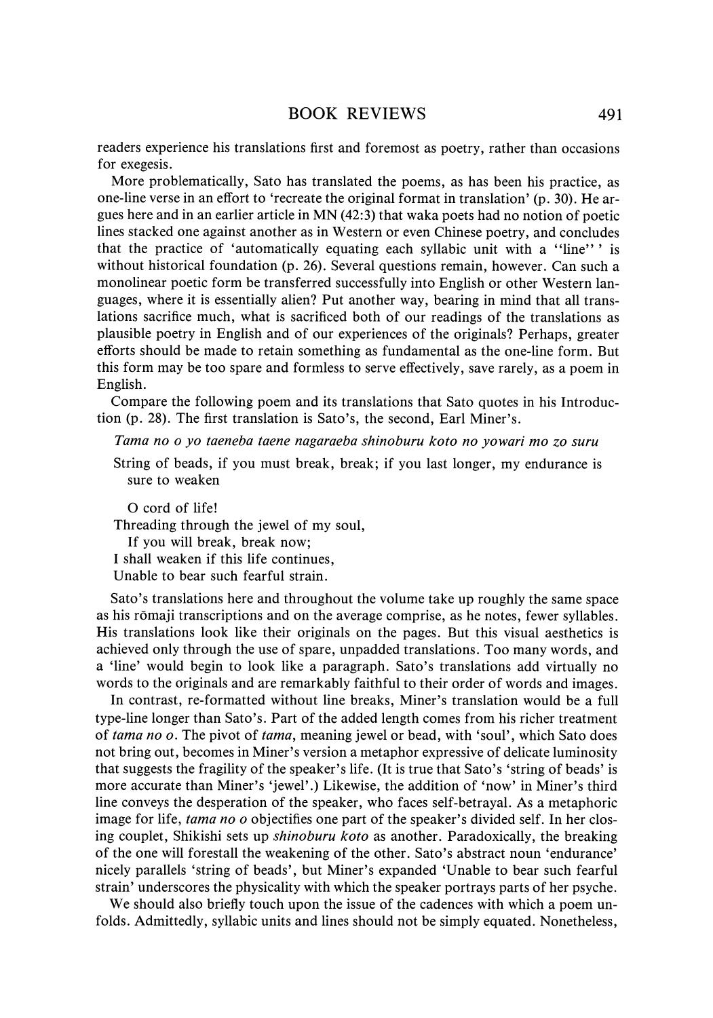readers experience his translations first and foremost as poetry, rather than occasions for exegesis.

More problematically, Sato has translated the poems, as has been his practice, as one-line verse in an effort to 'recreate the original format in translation' (p. 30). He argues here and in anearlier article in MN (42:3) that waka poets had no notion of poetic lines stacked one against another as in Western or even Chinese poetry, and concludes that the practice of 'automatically equating each syllabic unit with a ''line''' is without historical foundation (p. 26). Several questions remain, however. Can such a monolinear poetic form be transferred successfully into English or other Western languages, where it is essentially alien? Put another way, bearing in mind that all translations sacrifice much, what is sacrificed both of our readings of the translations as plausible poetry in English and of our experiences of the originals? Perhaps, greater efforts should be made to retain something as fundamental as the one-line form. But this form may be too spare and formless to serve effectively, save rarely, as a poem in English.

Compare the following poem and its translations that Sato quotes in his Introduction (p. 28). The first translation is Sato's, the second, Earl Miner's.

Tama no o yo taeneba taene nagaraeba shinoburu koto no yowari mo Zo suru

String of beads, if you must break, break; if you last longer, my endurance is sure to weaken

O cord of life!

Threading through the jewel of my soul,

If you will break, break now;

<sup>I</sup> shall weaken if this life continues,

Unable to bear such fearful strain.

Sato's translations here and throughout the volume take up roughly the same space as his rōmaji transcriptions and on the average comprise, as he notes, fewer syllables. His translations look like their originals on the pages. But this visual aesthetics is achieved only through the use of spare, unpadded translations. Too many words, and a 'line' would begin to look like a paragraph. Sato's translations add virtually no words to the originals and are remarkably faithful to their order of words and images.

In contrast, re-formatted without line breaks, Miner's translation would be a full type-line longer than Sato's. Part of the added length comes from his richer treatment of tama no o. The pivot of tama, meaning jewel or bead, with 'soul', which Sato does not bring out, becomes in Miner's version a metaphor expressive of delicate luminosity that suggests the fragility of the speaker's life. (It is true that Sato's 'string of beads' is more accurate than Miner's 'jewel'.) Likewise, the addition of 'now' in Miner's third line conveys the desperation of the speaker, who faces self-betrayal. As a metaphoric image for life, tama no o objectifies one part of the speaker's divided self. In her closing couplet, Shikishi sets up *shinoburu koto* as another. Paradoxically, the breaking of the one will forestall the weakening of the other. Sato's abstract noun 'endurance' nicely parallels 'string of beads', but Miner's expanded 'Unable to bear such fearful strain' underscores the physicality with which the speaker portrays parts of her psyche.

We should also briefly touch upon the issue of the cadences with which a poem unfolds. Admittedly, syllabic units and lines should not be simply equated. Nonetheless,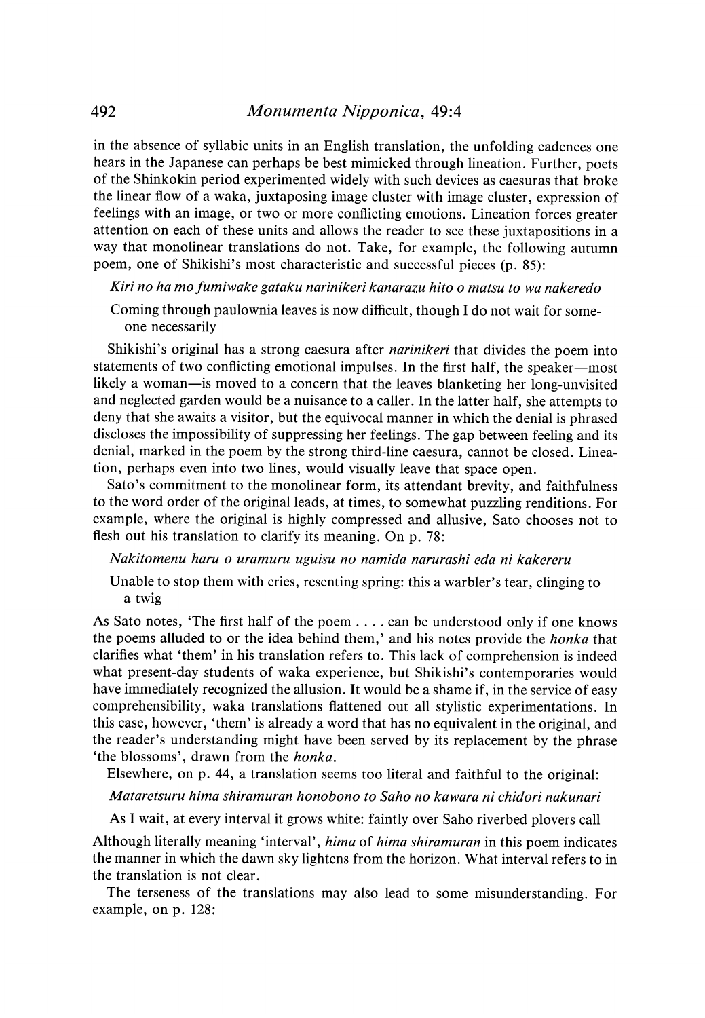in the absence of syllabic units in an English translation, the unfolding cadences one hears in the Japanese can perhaps be best mimicked through lineation. Further, poets of the Shinkokin period experimented widely with such devices as caesuras that broke the linear flow of a waka, juxtaposing image cluster with image cluster, expression of feelings with an image, or two or more conflicting emotions. Lineation forces greater attention on each of these units and allows the reader to see these juxtapositions in a way that monolinear translations do not. Take, for example, the following autumn poem, one of Shikishi's most characteristic and successful pieces (p. 85):

Kiri no ha mofumiwake gataku narinikeri kanarazu hito o matsu to wa nakeredo

Coming through paulownia leaves is now difficult, though I do not wait for someone necessarily

Shikishi's original has a strong caesura after narinikeri that divides the poem into statements of two conflicting emotional impulses. In the first half, the speaker—most likely a woman—is moved to a concern that the leaves blanketing her long-unvisited and neglected garden would be a nuisance to a caller. In the latter half, she attempts to deny that she awaits <sup>a</sup> visitor, but the equivocal mannerin which the denial is phrased discloses the impossibility of suppressing her feelings. The gap between feeling and its denial, marked in the poem by the strong third-line caesura, cannot be closed. Lineation, perhaps even into two lines, would visually leave that space open.

Sato's commitment to the monolinear form, its attendant brevity, and faithfulness to the word order of the original leads, at times, to somewhat puzzling renditions. For example, where the original is highly compressed and allusive, Sato chooses not to flesh out his translation to clarify its meaning. On p. 78:

Nakitomenu haru o uramuru uguisu no namida narurashi eda ni kakereru

Unable to stop them with cries, resenting spring: this a warbler's tear, clinging to a twig

As Sato notes, 'The first half of the poem.... can be understood only if one knows the poems alluded to or the idea behind them,' and his notes provide the *honka* that clarifies what 'them' in his translation refers to. This lack of comprehension is indeed what present-day students of waka experience, but Shikishi's contemporaries would have immediately recognized the allusion. It would be a shame if, in the service of easy comprehensibility, waka translations flattened out all stylistic experimentations. In this case, however, 'them' is already <sup>a</sup> word that has no equivalentin the original, and the reader's understanding might have been served by its replacement by the phrase 'the blossoms', drawn from the honka.

Elsewhere, on p. 44, a translation seems too literal and faithful to the original:

Mataretsuru hima shiramuran honobono to Saho no kawara ni chidori nakunari

As I wait, at every interval it grows white: faintly over Saho riverbed plovers call

Although literally meaning 'interval', hima of hima shiramuran in this poem indicates the manner in which the dawn sky lightens from the horizon. What interval refers to in the translation is not clear.

The terseness of the translations may also lead to some misunderstanding. For example, on p. 128: